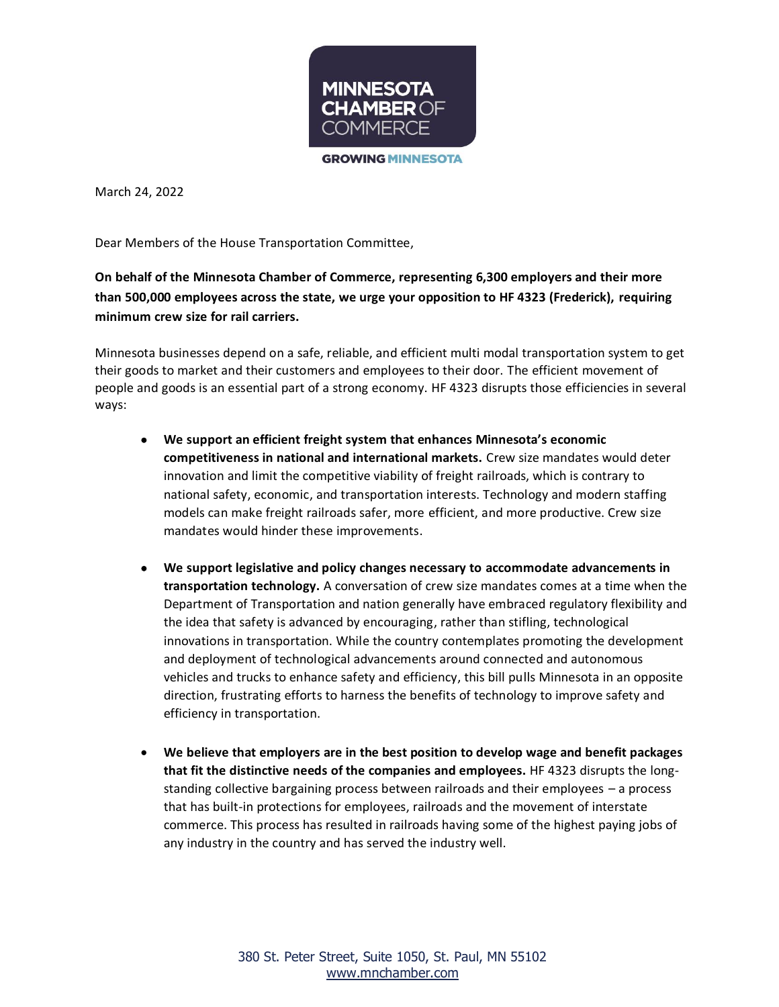

**GROWING MINNESOTA** 

March 24, 2022

Dear Members of the House Transportation Committee,

**On behalf of the Minnesota Chamber of Commerce, representing 6,300 employers and their more than 500,000 employees across the state, we urge your opposition to HF 4323 (Frederick), requiring minimum crew size for rail carriers.** 

Minnesota businesses depend on a safe, reliable, and efficient multi modal transportation system to get their goods to market and their customers and employees to their door. The efficient movement of people and goods is an essential part of a strong economy. HF 4323 disrupts those efficiencies in several ways:

- **We support an efficient freight system that enhances Minnesota's economic competitiveness in national and international markets.** Crew size mandates would deter innovation and limit the competitive viability of freight railroads, which is contrary to national safety, economic, and transportation interests. Technology and modern staffing models can make freight railroads safer, more efficient, and more productive. Crew size mandates would hinder these improvements.
- **We support legislative and policy changes necessary to accommodate advancements in transportation technology.** A conversation of crew size mandates comes at a time when the Department of Transportation and nation generally have embraced regulatory flexibility and the idea that safety is advanced by encouraging, rather than stifling, technological innovations in transportation. While the country contemplates promoting the development and deployment of technological advancements around connected and autonomous vehicles and trucks to enhance safety and efficiency, this bill pulls Minnesota in an opposite direction, frustrating efforts to harness the benefits of technology to improve safety and efficiency in transportation.
- **We believe that employers are in the best position to develop wage and benefit packages that fit the distinctive needs of the companies and employees.** HF 4323 disrupts the longstanding collective bargaining process between railroads and their employees – a process that has built-in protections for employees, railroads and the movement of interstate commerce. This process has resulted in railroads having some of the highest paying jobs of any industry in the country and has served the industry well.